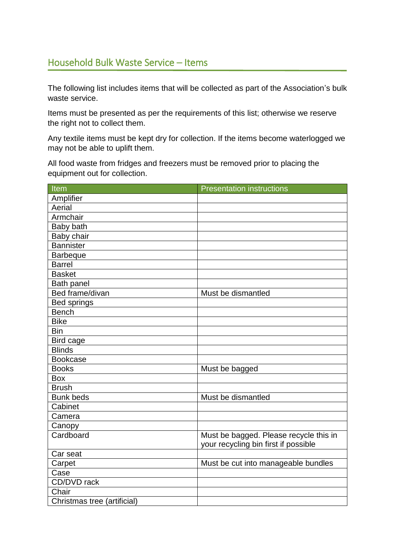## Household Bulk Waste Service – Items

The following list includes items that will be collected as part of the Association's bulk waste service.

Items must be presented as per the requirements of this list; otherwise we reserve the right not to collect them.

Any textile items must be kept dry for collection. If the items become waterlogged we may not be able to uplift them.

All food waste from fridges and freezers must be removed prior to placing the equipment out for collection.

| Item                        | <b>Presentation instructions</b>       |
|-----------------------------|----------------------------------------|
| Amplifier                   |                                        |
| Aerial                      |                                        |
| Armchair                    |                                        |
| Baby bath                   |                                        |
| Baby chair                  |                                        |
| <b>Bannister</b>            |                                        |
| <b>Barbeque</b>             |                                        |
| <b>Barrel</b>               |                                        |
| <b>Basket</b>               |                                        |
| <b>Bath panel</b>           |                                        |
| Bed frame/divan             | Must be dismantled                     |
| <b>Bed springs</b>          |                                        |
| <b>Bench</b>                |                                        |
| <b>Bike</b>                 |                                        |
| <b>Bin</b>                  |                                        |
| Bird cage                   |                                        |
| <b>Blinds</b>               |                                        |
| <b>Bookcase</b>             |                                        |
| <b>Books</b>                | Must be bagged                         |
| <b>Box</b>                  |                                        |
| <b>Brush</b>                |                                        |
| <b>Bunk beds</b>            | Must be dismantled                     |
| Cabinet                     |                                        |
| Camera                      |                                        |
| Canopy                      |                                        |
| Cardboard                   | Must be bagged. Please recycle this in |
|                             | your recycling bin first if possible   |
| Car seat                    |                                        |
| Carpet                      | Must be cut into manageable bundles    |
| Case                        |                                        |
| CD/DVD rack                 |                                        |
| Chair                       |                                        |
| Christmas tree (artificial) |                                        |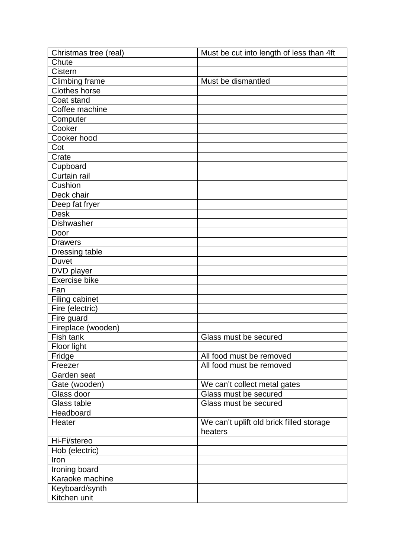| Chute<br>Cistern<br>Climbing frame<br>Must be dismantled<br><b>Clothes horse</b><br>Coat stand<br>Coffee machine<br>Computer<br>Cooker<br>Cooker hood<br>Cot<br>Crate<br>Cupboard<br>Curtain rail<br>Cushion<br>Deck chair<br>Deep fat fryer<br><b>Desk</b><br><b>Dishwasher</b><br>Door<br><b>Drawers</b><br>Dressing table<br><b>Duvet</b><br>DVD player<br>Exercise bike<br>Fan<br>Filing cabinet<br>Fire (electric)<br>Fire guard<br>Fireplace (wooden)<br>Fish tank<br>Glass must be secured<br>Floor light<br>Fridge<br>All food must be removed<br>All food must be removed<br>Freezer<br>Garden seat<br>Gate (wooden)<br>We can't collect metal gates<br>Glass door<br>Glass must be secured<br>Glass table<br>Glass must be secured<br>Headboard<br>Heater<br>We can't uplift old brick filled storage<br>heaters<br>Hi-Fi/stereo<br>Hob (electric)<br>Iron<br>Ironing board<br>Karaoke machine<br>Keyboard/synth | Christmas tree (real) | Must be cut into length of less than 4ft |
|----------------------------------------------------------------------------------------------------------------------------------------------------------------------------------------------------------------------------------------------------------------------------------------------------------------------------------------------------------------------------------------------------------------------------------------------------------------------------------------------------------------------------------------------------------------------------------------------------------------------------------------------------------------------------------------------------------------------------------------------------------------------------------------------------------------------------------------------------------------------------------------------------------------------------|-----------------------|------------------------------------------|
|                                                                                                                                                                                                                                                                                                                                                                                                                                                                                                                                                                                                                                                                                                                                                                                                                                                                                                                            |                       |                                          |
|                                                                                                                                                                                                                                                                                                                                                                                                                                                                                                                                                                                                                                                                                                                                                                                                                                                                                                                            |                       |                                          |
|                                                                                                                                                                                                                                                                                                                                                                                                                                                                                                                                                                                                                                                                                                                                                                                                                                                                                                                            |                       |                                          |
|                                                                                                                                                                                                                                                                                                                                                                                                                                                                                                                                                                                                                                                                                                                                                                                                                                                                                                                            |                       |                                          |
|                                                                                                                                                                                                                                                                                                                                                                                                                                                                                                                                                                                                                                                                                                                                                                                                                                                                                                                            |                       |                                          |
|                                                                                                                                                                                                                                                                                                                                                                                                                                                                                                                                                                                                                                                                                                                                                                                                                                                                                                                            |                       |                                          |
|                                                                                                                                                                                                                                                                                                                                                                                                                                                                                                                                                                                                                                                                                                                                                                                                                                                                                                                            |                       |                                          |
|                                                                                                                                                                                                                                                                                                                                                                                                                                                                                                                                                                                                                                                                                                                                                                                                                                                                                                                            |                       |                                          |
|                                                                                                                                                                                                                                                                                                                                                                                                                                                                                                                                                                                                                                                                                                                                                                                                                                                                                                                            |                       |                                          |
|                                                                                                                                                                                                                                                                                                                                                                                                                                                                                                                                                                                                                                                                                                                                                                                                                                                                                                                            |                       |                                          |
|                                                                                                                                                                                                                                                                                                                                                                                                                                                                                                                                                                                                                                                                                                                                                                                                                                                                                                                            |                       |                                          |
|                                                                                                                                                                                                                                                                                                                                                                                                                                                                                                                                                                                                                                                                                                                                                                                                                                                                                                                            |                       |                                          |
|                                                                                                                                                                                                                                                                                                                                                                                                                                                                                                                                                                                                                                                                                                                                                                                                                                                                                                                            |                       |                                          |
|                                                                                                                                                                                                                                                                                                                                                                                                                                                                                                                                                                                                                                                                                                                                                                                                                                                                                                                            |                       |                                          |
|                                                                                                                                                                                                                                                                                                                                                                                                                                                                                                                                                                                                                                                                                                                                                                                                                                                                                                                            |                       |                                          |
|                                                                                                                                                                                                                                                                                                                                                                                                                                                                                                                                                                                                                                                                                                                                                                                                                                                                                                                            |                       |                                          |
|                                                                                                                                                                                                                                                                                                                                                                                                                                                                                                                                                                                                                                                                                                                                                                                                                                                                                                                            |                       |                                          |
|                                                                                                                                                                                                                                                                                                                                                                                                                                                                                                                                                                                                                                                                                                                                                                                                                                                                                                                            |                       |                                          |
|                                                                                                                                                                                                                                                                                                                                                                                                                                                                                                                                                                                                                                                                                                                                                                                                                                                                                                                            |                       |                                          |
|                                                                                                                                                                                                                                                                                                                                                                                                                                                                                                                                                                                                                                                                                                                                                                                                                                                                                                                            |                       |                                          |
|                                                                                                                                                                                                                                                                                                                                                                                                                                                                                                                                                                                                                                                                                                                                                                                                                                                                                                                            |                       |                                          |
|                                                                                                                                                                                                                                                                                                                                                                                                                                                                                                                                                                                                                                                                                                                                                                                                                                                                                                                            |                       |                                          |
|                                                                                                                                                                                                                                                                                                                                                                                                                                                                                                                                                                                                                                                                                                                                                                                                                                                                                                                            |                       |                                          |
|                                                                                                                                                                                                                                                                                                                                                                                                                                                                                                                                                                                                                                                                                                                                                                                                                                                                                                                            |                       |                                          |
|                                                                                                                                                                                                                                                                                                                                                                                                                                                                                                                                                                                                                                                                                                                                                                                                                                                                                                                            |                       |                                          |
|                                                                                                                                                                                                                                                                                                                                                                                                                                                                                                                                                                                                                                                                                                                                                                                                                                                                                                                            |                       |                                          |
|                                                                                                                                                                                                                                                                                                                                                                                                                                                                                                                                                                                                                                                                                                                                                                                                                                                                                                                            |                       |                                          |
|                                                                                                                                                                                                                                                                                                                                                                                                                                                                                                                                                                                                                                                                                                                                                                                                                                                                                                                            |                       |                                          |
|                                                                                                                                                                                                                                                                                                                                                                                                                                                                                                                                                                                                                                                                                                                                                                                                                                                                                                                            |                       |                                          |
|                                                                                                                                                                                                                                                                                                                                                                                                                                                                                                                                                                                                                                                                                                                                                                                                                                                                                                                            |                       |                                          |
|                                                                                                                                                                                                                                                                                                                                                                                                                                                                                                                                                                                                                                                                                                                                                                                                                                                                                                                            |                       |                                          |
|                                                                                                                                                                                                                                                                                                                                                                                                                                                                                                                                                                                                                                                                                                                                                                                                                                                                                                                            |                       |                                          |
|                                                                                                                                                                                                                                                                                                                                                                                                                                                                                                                                                                                                                                                                                                                                                                                                                                                                                                                            |                       |                                          |
|                                                                                                                                                                                                                                                                                                                                                                                                                                                                                                                                                                                                                                                                                                                                                                                                                                                                                                                            |                       |                                          |
|                                                                                                                                                                                                                                                                                                                                                                                                                                                                                                                                                                                                                                                                                                                                                                                                                                                                                                                            |                       |                                          |
|                                                                                                                                                                                                                                                                                                                                                                                                                                                                                                                                                                                                                                                                                                                                                                                                                                                                                                                            |                       |                                          |
|                                                                                                                                                                                                                                                                                                                                                                                                                                                                                                                                                                                                                                                                                                                                                                                                                                                                                                                            |                       |                                          |
|                                                                                                                                                                                                                                                                                                                                                                                                                                                                                                                                                                                                                                                                                                                                                                                                                                                                                                                            |                       |                                          |
|                                                                                                                                                                                                                                                                                                                                                                                                                                                                                                                                                                                                                                                                                                                                                                                                                                                                                                                            |                       |                                          |
|                                                                                                                                                                                                                                                                                                                                                                                                                                                                                                                                                                                                                                                                                                                                                                                                                                                                                                                            |                       |                                          |
|                                                                                                                                                                                                                                                                                                                                                                                                                                                                                                                                                                                                                                                                                                                                                                                                                                                                                                                            |                       |                                          |
|                                                                                                                                                                                                                                                                                                                                                                                                                                                                                                                                                                                                                                                                                                                                                                                                                                                                                                                            |                       |                                          |
|                                                                                                                                                                                                                                                                                                                                                                                                                                                                                                                                                                                                                                                                                                                                                                                                                                                                                                                            |                       |                                          |
|                                                                                                                                                                                                                                                                                                                                                                                                                                                                                                                                                                                                                                                                                                                                                                                                                                                                                                                            |                       |                                          |
|                                                                                                                                                                                                                                                                                                                                                                                                                                                                                                                                                                                                                                                                                                                                                                                                                                                                                                                            |                       |                                          |
|                                                                                                                                                                                                                                                                                                                                                                                                                                                                                                                                                                                                                                                                                                                                                                                                                                                                                                                            |                       |                                          |
|                                                                                                                                                                                                                                                                                                                                                                                                                                                                                                                                                                                                                                                                                                                                                                                                                                                                                                                            | Kitchen unit          |                                          |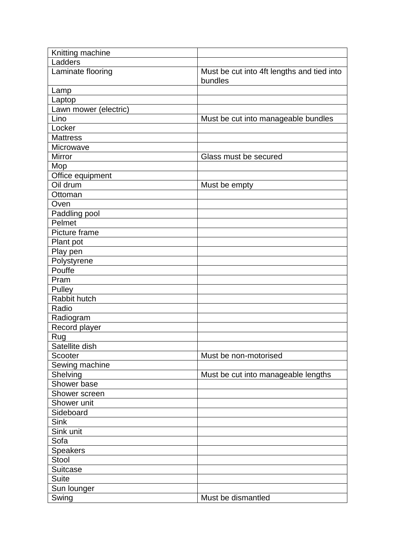| Knitting machine      |                                            |
|-----------------------|--------------------------------------------|
| Ladders               |                                            |
| Laminate flooring     | Must be cut into 4ft lengths and tied into |
|                       | bundles                                    |
| Lamp                  |                                            |
| Laptop                |                                            |
| Lawn mower (electric) |                                            |
| Lino                  | Must be cut into manageable bundles        |
| Locker                |                                            |
| <b>Mattress</b>       |                                            |
| Microwave             |                                            |
| Mirror                | Glass must be secured                      |
| Mop                   |                                            |
| Office equipment      |                                            |
| Oil drum              | Must be empty                              |
| Ottoman               |                                            |
| Oven                  |                                            |
| Paddling pool         |                                            |
| Pelmet                |                                            |
| Picture frame         |                                            |
| Plant pot             |                                            |
| Play pen              |                                            |
| Polystyrene           |                                            |
| Pouffe                |                                            |
| Pram                  |                                            |
| Pulley                |                                            |
| Rabbit hutch          |                                            |
| Radio                 |                                            |
| Radiogram             |                                            |
| Record player         |                                            |
| <b>Rug</b>            |                                            |
| Satellite dish        |                                            |
| Scooter               | Must be non-motorised                      |
| Sewing machine        |                                            |
| Shelving              | Must be cut into manageable lengths        |
| Shower base           |                                            |
| Shower screen         |                                            |
| Shower unit           |                                            |
| Sideboard             |                                            |
| <b>Sink</b>           |                                            |
| Sink unit             |                                            |
| Sofa                  |                                            |
| <b>Speakers</b>       |                                            |
| Stool                 |                                            |
| <b>Suitcase</b>       |                                            |
| Suite                 |                                            |
| Sun lounger           |                                            |
| Swing                 | Must be dismantled                         |